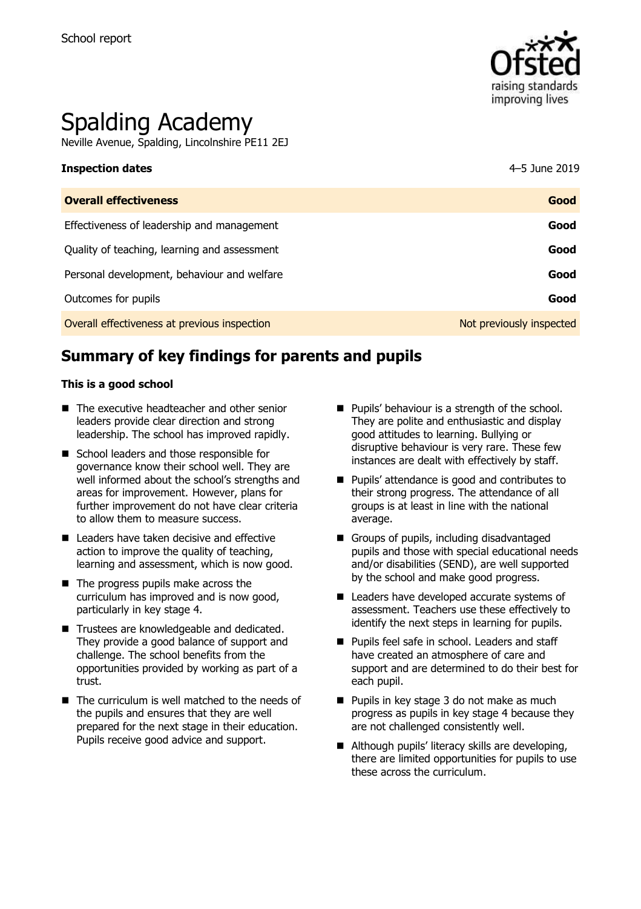

# Spalding Academy

Neville Avenue, Spalding, Lincolnshire PE11 2EJ

| <b>Overall effectiveness</b>                 | Good                     |
|----------------------------------------------|--------------------------|
| Effectiveness of leadership and management   | Good                     |
| Quality of teaching, learning and assessment | Good                     |
| Personal development, behaviour and welfare  | Good                     |
| Outcomes for pupils                          | Good                     |
| Overall effectiveness at previous inspection | Not previously inspected |

# **Summary of key findings for parents and pupils**

### **This is a good school**

- The executive headteacher and other senior leaders provide clear direction and strong leadership. The school has improved rapidly.
- School leaders and those responsible for governance know their school well. They are well informed about the school's strengths and areas for improvement. However, plans for further improvement do not have clear criteria to allow them to measure success.
- Leaders have taken decisive and effective action to improve the quality of teaching, learning and assessment, which is now good.
- The progress pupils make across the curriculum has improved and is now good, particularly in key stage 4.
- Trustees are knowledgeable and dedicated. They provide a good balance of support and challenge. The school benefits from the opportunities provided by working as part of a trust.
- $\blacksquare$  The curriculum is well matched to the needs of the pupils and ensures that they are well prepared for the next stage in their education. Pupils receive good advice and support.
- **Pupils' behaviour is a strength of the school.** They are polite and enthusiastic and display good attitudes to learning. Bullying or disruptive behaviour is very rare. These few instances are dealt with effectively by staff.
- **Pupils' attendance is good and contributes to** their strong progress. The attendance of all groups is at least in line with the national average.
- Groups of pupils, including disadvantaged pupils and those with special educational needs and/or disabilities (SEND), are well supported by the school and make good progress.
- Leaders have developed accurate systems of assessment. Teachers use these effectively to identify the next steps in learning for pupils.
- **Pupils feel safe in school. Leaders and staff** have created an atmosphere of care and support and are determined to do their best for each pupil.
- **Pupils in key stage 3 do not make as much** progress as pupils in key stage 4 because they are not challenged consistently well.
- Although pupils' literacy skills are developing, there are limited opportunities for pupils to use these across the curriculum.

**Inspection dates** 4–5 June 2019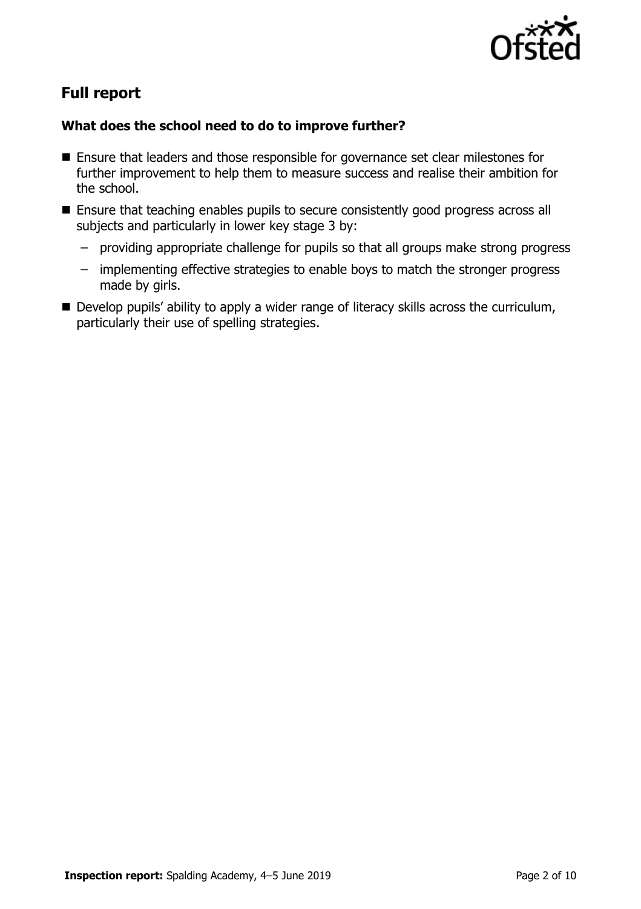

# **Full report**

### **What does the school need to do to improve further?**

- Ensure that leaders and those responsible for governance set clear milestones for further improvement to help them to measure success and realise their ambition for the school.
- **Ensure that teaching enables pupils to secure consistently good progress across all** subjects and particularly in lower key stage 3 by:
	- providing appropriate challenge for pupils so that all groups make strong progress
	- implementing effective strategies to enable boys to match the stronger progress made by girls.
- Develop pupils' ability to apply a wider range of literacy skills across the curriculum, particularly their use of spelling strategies.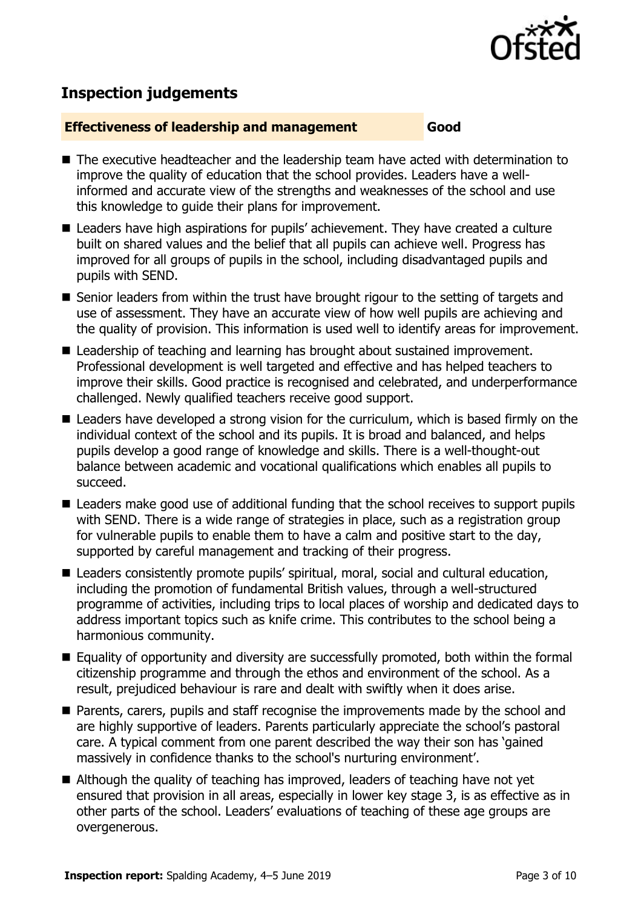

# **Inspection judgements**

### **Effectiveness of leadership and management Good**

- The executive headteacher and the leadership team have acted with determination to improve the quality of education that the school provides. Leaders have a wellinformed and accurate view of the strengths and weaknesses of the school and use this knowledge to guide their plans for improvement.
- Leaders have high aspirations for pupils' achievement. They have created a culture built on shared values and the belief that all pupils can achieve well. Progress has improved for all groups of pupils in the school, including disadvantaged pupils and pupils with SEND.
- Senior leaders from within the trust have brought rigour to the setting of targets and use of assessment. They have an accurate view of how well pupils are achieving and the quality of provision. This information is used well to identify areas for improvement.
- Leadership of teaching and learning has brought about sustained improvement. Professional development is well targeted and effective and has helped teachers to improve their skills. Good practice is recognised and celebrated, and underperformance challenged. Newly qualified teachers receive good support.
- Leaders have developed a strong vision for the curriculum, which is based firmly on the individual context of the school and its pupils. It is broad and balanced, and helps pupils develop a good range of knowledge and skills. There is a well-thought-out balance between academic and vocational qualifications which enables all pupils to succeed.
- Leaders make good use of additional funding that the school receives to support pupils with SEND. There is a wide range of strategies in place, such as a registration group for vulnerable pupils to enable them to have a calm and positive start to the day, supported by careful management and tracking of their progress.
- Leaders consistently promote pupils' spiritual, moral, social and cultural education, including the promotion of fundamental British values, through a well-structured programme of activities, including trips to local places of worship and dedicated days to address important topics such as knife crime. This contributes to the school being a harmonious community.
- Equality of opportunity and diversity are successfully promoted, both within the formal citizenship programme and through the ethos and environment of the school. As a result, prejudiced behaviour is rare and dealt with swiftly when it does arise.
- **Parents, carers, pupils and staff recognise the improvements made by the school and** are highly supportive of leaders. Parents particularly appreciate the school's pastoral care. A typical comment from one parent described the way their son has 'gained massively in confidence thanks to the school's nurturing environment'.
- Although the quality of teaching has improved, leaders of teaching have not yet ensured that provision in all areas, especially in lower key stage 3, is as effective as in other parts of the school. Leaders' evaluations of teaching of these age groups are overgenerous.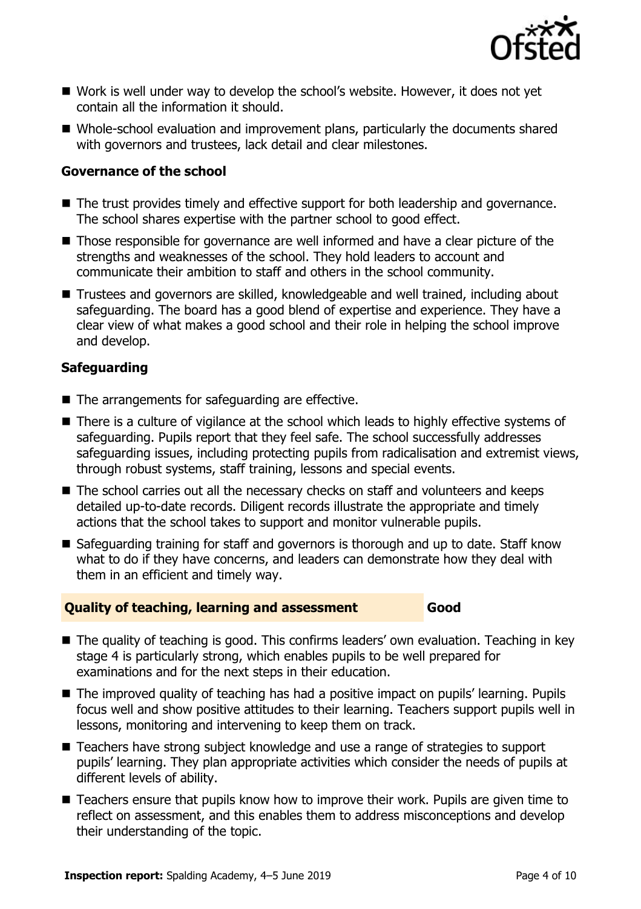

- Work is well under way to develop the school's website. However, it does not yet contain all the information it should.
- Whole-school evaluation and improvement plans, particularly the documents shared with governors and trustees, lack detail and clear milestones.

### **Governance of the school**

- The trust provides timely and effective support for both leadership and governance. The school shares expertise with the partner school to good effect.
- Those responsible for governance are well informed and have a clear picture of the strengths and weaknesses of the school. They hold leaders to account and communicate their ambition to staff and others in the school community.
- Trustees and governors are skilled, knowledgeable and well trained, including about safeguarding. The board has a good blend of expertise and experience. They have a clear view of what makes a good school and their role in helping the school improve and develop.

### **Safeguarding**

- The arrangements for safeguarding are effective.
- There is a culture of vigilance at the school which leads to highly effective systems of safeguarding. Pupils report that they feel safe. The school successfully addresses safeguarding issues, including protecting pupils from radicalisation and extremist views, through robust systems, staff training, lessons and special events.
- The school carries out all the necessary checks on staff and volunteers and keeps detailed up-to-date records. Diligent records illustrate the appropriate and timely actions that the school takes to support and monitor vulnerable pupils.
- Safeguarding training for staff and governors is thorough and up to date. Staff know what to do if they have concerns, and leaders can demonstrate how they deal with them in an efficient and timely way.

### **Quality of teaching, learning and assessment Good**

- The quality of teaching is good. This confirms leaders' own evaluation. Teaching in key stage 4 is particularly strong, which enables pupils to be well prepared for examinations and for the next steps in their education.
- The improved quality of teaching has had a positive impact on pupils' learning. Pupils focus well and show positive attitudes to their learning. Teachers support pupils well in lessons, monitoring and intervening to keep them on track.
- Teachers have strong subject knowledge and use a range of strategies to support pupils' learning. They plan appropriate activities which consider the needs of pupils at different levels of ability.
- Teachers ensure that pupils know how to improve their work. Pupils are given time to reflect on assessment, and this enables them to address misconceptions and develop their understanding of the topic.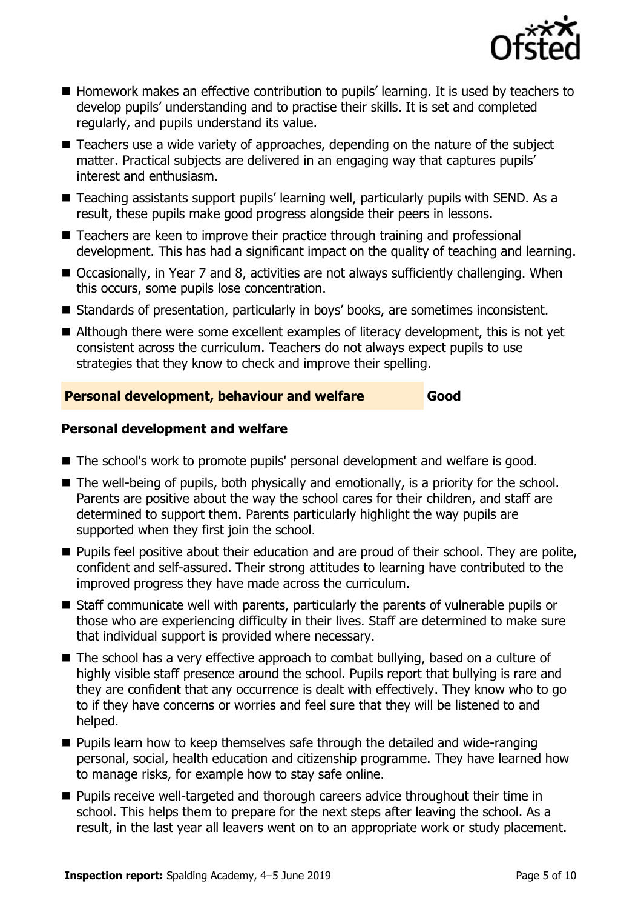

- Homework makes an effective contribution to pupils' learning. It is used by teachers to develop pupils' understanding and to practise their skills. It is set and completed regularly, and pupils understand its value.
- Teachers use a wide variety of approaches, depending on the nature of the subject matter. Practical subjects are delivered in an engaging way that captures pupils' interest and enthusiasm.
- Teaching assistants support pupils' learning well, particularly pupils with SEND. As a result, these pupils make good progress alongside their peers in lessons.
- Teachers are keen to improve their practice through training and professional development. This has had a significant impact on the quality of teaching and learning.
- Occasionally, in Year 7 and 8, activities are not always sufficiently challenging. When this occurs, some pupils lose concentration.
- Standards of presentation, particularly in boys' books, are sometimes inconsistent.
- Although there were some excellent examples of literacy development, this is not yet consistent across the curriculum. Teachers do not always expect pupils to use strategies that they know to check and improve their spelling.

### **Personal development, behaviour and welfare Good**

### **Personal development and welfare**

- The school's work to promote pupils' personal development and welfare is good.
- The well-being of pupils, both physically and emotionally, is a priority for the school. Parents are positive about the way the school cares for their children, and staff are determined to support them. Parents particularly highlight the way pupils are supported when they first join the school.
- **Pupils feel positive about their education and are proud of their school. They are polite,** confident and self-assured. Their strong attitudes to learning have contributed to the improved progress they have made across the curriculum.
- Staff communicate well with parents, particularly the parents of vulnerable pupils or those who are experiencing difficulty in their lives. Staff are determined to make sure that individual support is provided where necessary.
- The school has a very effective approach to combat bullying, based on a culture of highly visible staff presence around the school. Pupils report that bullying is rare and they are confident that any occurrence is dealt with effectively. They know who to go to if they have concerns or worries and feel sure that they will be listened to and helped.
- **Pupils learn how to keep themselves safe through the detailed and wide-ranging** personal, social, health education and citizenship programme. They have learned how to manage risks, for example how to stay safe online.
- **Pupils receive well-targeted and thorough careers advice throughout their time in** school. This helps them to prepare for the next steps after leaving the school. As a result, in the last year all leavers went on to an appropriate work or study placement.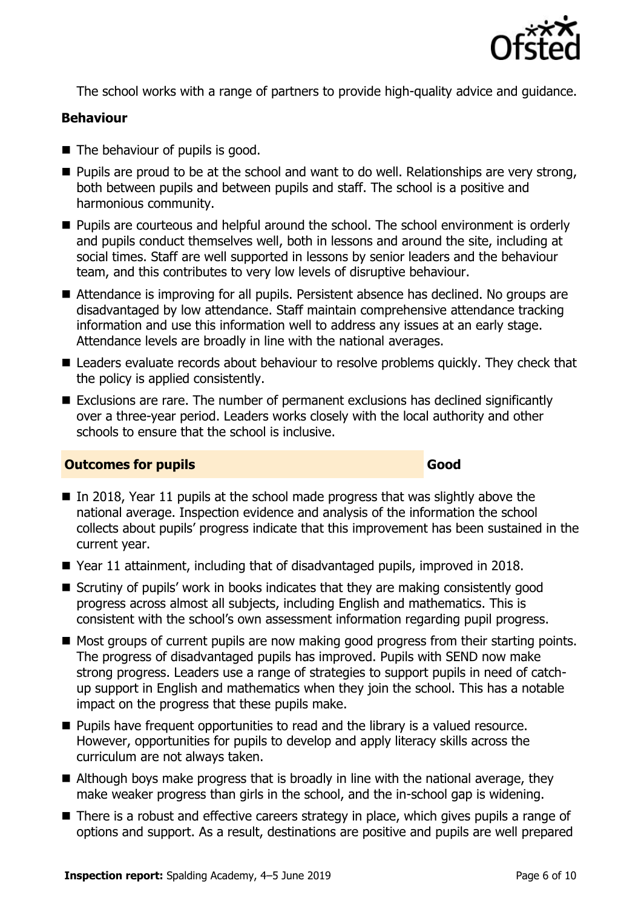

The school works with a range of partners to provide high-quality advice and guidance.

### **Behaviour**

- The behaviour of pupils is good.
- **Pupils are proud to be at the school and want to do well. Relationships are very strong,** both between pupils and between pupils and staff. The school is a positive and harmonious community.
- **Pupils are courteous and helpful around the school. The school environment is orderly** and pupils conduct themselves well, both in lessons and around the site, including at social times. Staff are well supported in lessons by senior leaders and the behaviour team, and this contributes to very low levels of disruptive behaviour.
- Attendance is improving for all pupils. Persistent absence has declined. No groups are disadvantaged by low attendance. Staff maintain comprehensive attendance tracking information and use this information well to address any issues at an early stage. Attendance levels are broadly in line with the national averages.
- Leaders evaluate records about behaviour to resolve problems quickly. They check that the policy is applied consistently.
- Exclusions are rare. The number of permanent exclusions has declined significantly over a three-year period. Leaders works closely with the local authority and other schools to ensure that the school is inclusive.

### **Outcomes for pupils Good**

- In 2018, Year 11 pupils at the school made progress that was slightly above the national average. Inspection evidence and analysis of the information the school collects about pupils' progress indicate that this improvement has been sustained in the current year.
- Year 11 attainment, including that of disadvantaged pupils, improved in 2018.
- Scrutiny of pupils' work in books indicates that they are making consistently good progress across almost all subjects, including English and mathematics. This is consistent with the school's own assessment information regarding pupil progress.
- $\blacksquare$  Most groups of current pupils are now making good progress from their starting points. The progress of disadvantaged pupils has improved. Pupils with SEND now make strong progress. Leaders use a range of strategies to support pupils in need of catchup support in English and mathematics when they join the school. This has a notable impact on the progress that these pupils make.
- **Pupils have frequent opportunities to read and the library is a valued resource.** However, opportunities for pupils to develop and apply literacy skills across the curriculum are not always taken.
- Although boys make progress that is broadly in line with the national average, they make weaker progress than girls in the school, and the in-school gap is widening.
- There is a robust and effective careers strategy in place, which gives pupils a range of options and support. As a result, destinations are positive and pupils are well prepared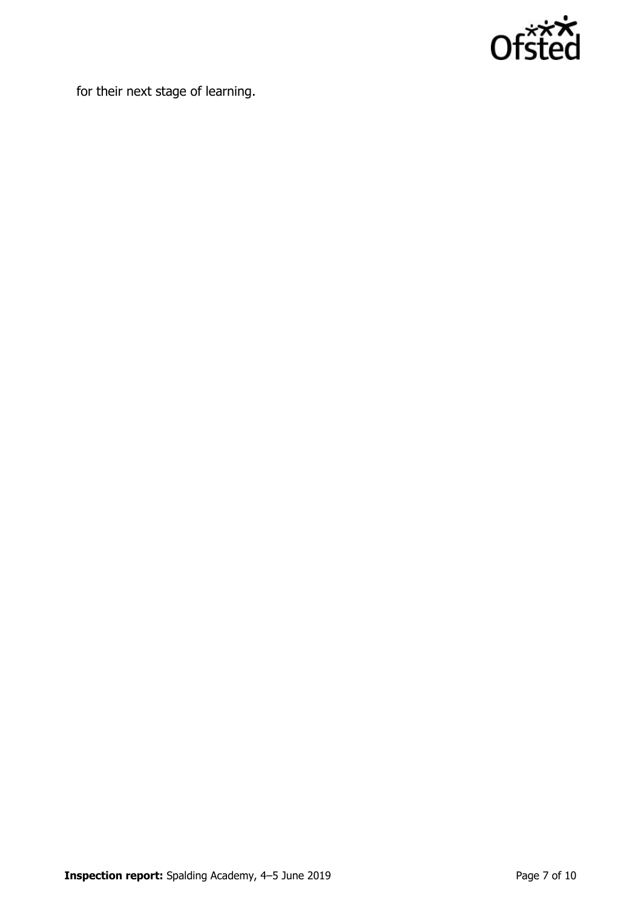

for their next stage of learning.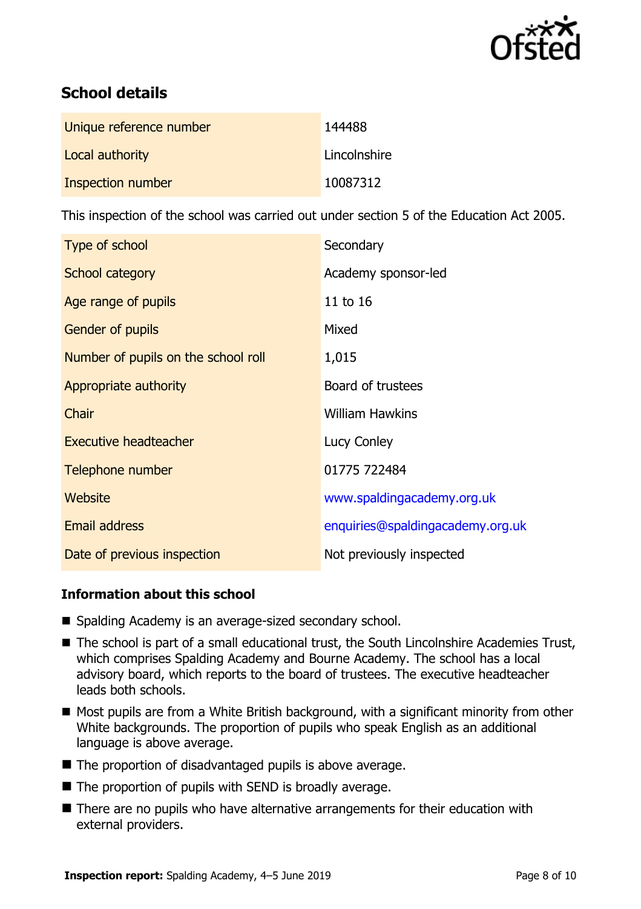

# **School details**

| Unique reference number | 144488       |
|-------------------------|--------------|
| Local authority         | Lincolnshire |
| Inspection number       | 10087312     |

This inspection of the school was carried out under section 5 of the Education Act 2005.

| Type of school                      | Secondary                        |
|-------------------------------------|----------------------------------|
| School category                     | Academy sponsor-led              |
| Age range of pupils                 | 11 to 16                         |
| <b>Gender of pupils</b>             | Mixed                            |
| Number of pupils on the school roll | 1,015                            |
| Appropriate authority               | Board of trustees                |
| Chair                               | <b>William Hawkins</b>           |
| Executive headteacher               | Lucy Conley                      |
| Telephone number                    | 01775 722484                     |
| Website                             | www.spaldingacademy.org.uk       |
| <b>Email address</b>                | enquiries@spaldingacademy.org.uk |
| Date of previous inspection         | Not previously inspected         |

### **Information about this school**

- Spalding Academy is an average-sized secondary school.
- The school is part of a small educational trust, the South Lincolnshire Academies Trust, which comprises Spalding Academy and Bourne Academy. The school has a local advisory board, which reports to the board of trustees. The executive headteacher leads both schools.
- Most pupils are from a White British background, with a significant minority from other White backgrounds. The proportion of pupils who speak English as an additional language is above average.
- The proportion of disadvantaged pupils is above average.
- $\blacksquare$  The proportion of pupils with SEND is broadly average.
- There are no pupils who have alternative arrangements for their education with external providers.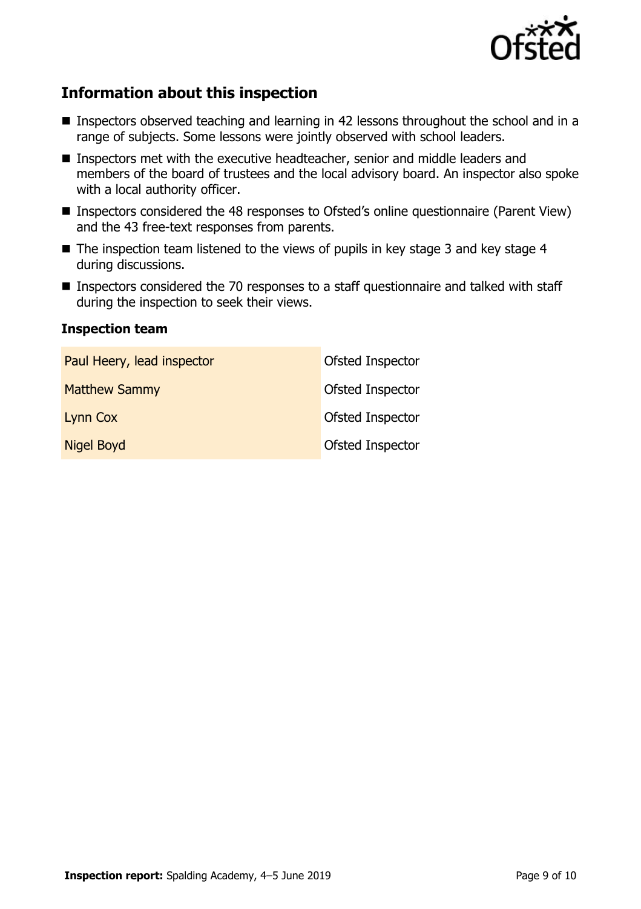

# **Information about this inspection**

- Inspectors observed teaching and learning in 42 lessons throughout the school and in a range of subjects. Some lessons were jointly observed with school leaders.
- **Inspectors met with the executive headteacher, senior and middle leaders and** members of the board of trustees and the local advisory board. An inspector also spoke with a local authority officer.
- Inspectors considered the 48 responses to Ofsted's online questionnaire (Parent View) and the 43 free-text responses from parents.
- $\blacksquare$  The inspection team listened to the views of pupils in key stage 3 and key stage 4 during discussions.
- Inspectors considered the 70 responses to a staff questionnaire and talked with staff during the inspection to seek their views.

### **Inspection team**

| Paul Heery, lead inspector | Ofsted Inspector |
|----------------------------|------------------|
| <b>Matthew Sammy</b>       | Ofsted Inspector |
| Lynn Cox                   | Ofsted Inspector |
| <b>Nigel Boyd</b>          | Ofsted Inspector |